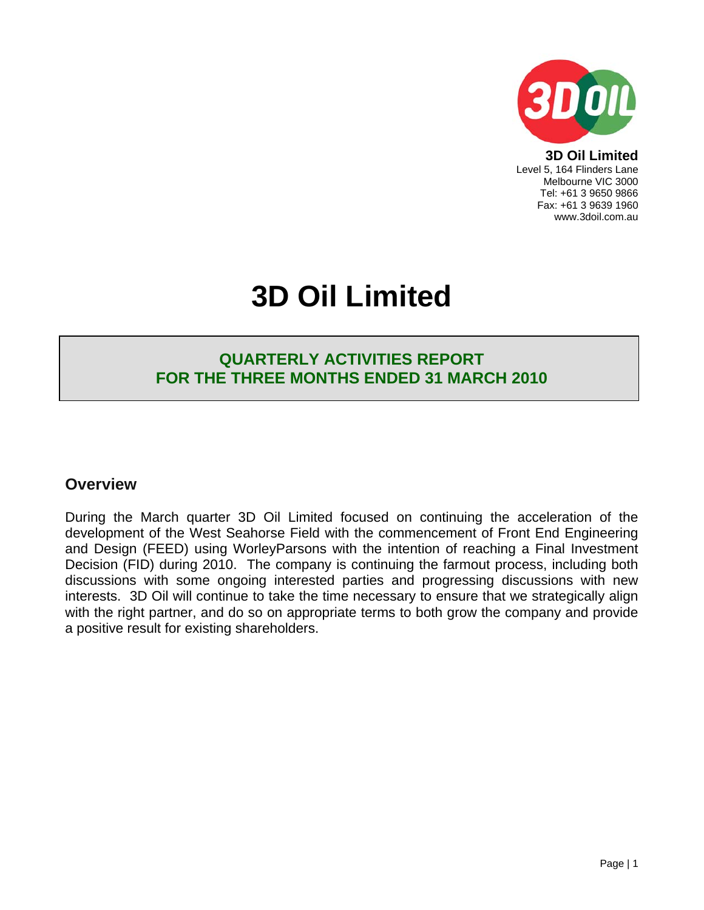

**3D Oil Limited**  Level 5, 164 Flinders Lane Melbourne VIC 3000 Tel: +61 3 9650 9866 Fax: +61 3 9639 1960 www.3doil.com.au

# **3D Oil Limited**

## **QUARTERLY ACTIVITIES REPORT FOR THE THREE MONTHS ENDED 31 MARCH 2010**

## **Overview**

During the March quarter 3D Oil Limited focused on continuing the acceleration of the development of the West Seahorse Field with the commencement of Front End Engineering and Design (FEED) using WorleyParsons with the intention of reaching a Final Investment Decision (FID) during 2010. The company is continuing the farmout process, including both discussions with some ongoing interested parties and progressing discussions with new interests. 3D Oil will continue to take the time necessary to ensure that we strategically align with the right partner, and do so on appropriate terms to both grow the company and provide a positive result for existing shareholders.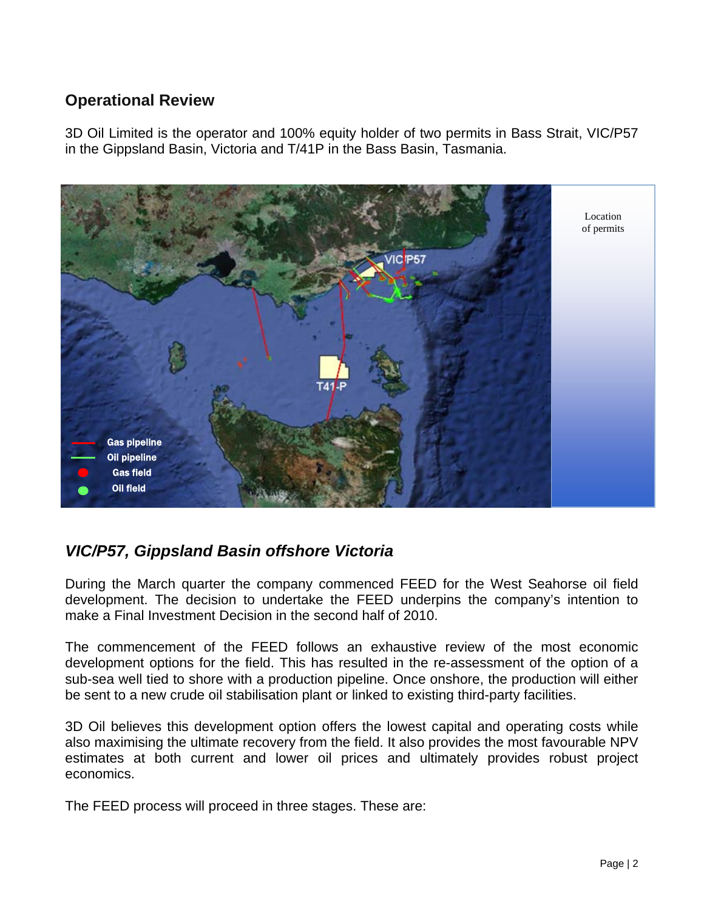## **Operational Review**

3D Oil Limited is the operator and 100% equity holder of two permits in Bass Strait, VIC/P57 in the Gippsland Basin, Victoria and T/41P in the Bass Basin, Tasmania.



# *VIC/P57, Gippsland Basin offshore Victoria*

During the March quarter the company commenced FEED for the West Seahorse oil field development. The decision to undertake the FEED underpins the company's intention to make a Final Investment Decision in the second half of 2010.

The commencement of the FEED follows an exhaustive review of the most economic development options for the field. This has resulted in the re-assessment of the option of a sub-sea well tied to shore with a production pipeline. Once onshore, the production will either be sent to a new crude oil stabilisation plant or linked to existing third-party facilities.

3D Oil believes this development option offers the lowest capital and operating costs while also maximising the ultimate recovery from the field. It also provides the most favourable NPV estimates at both current and lower oil prices and ultimately provides robust project economics.

The FEED process will proceed in three stages. These are: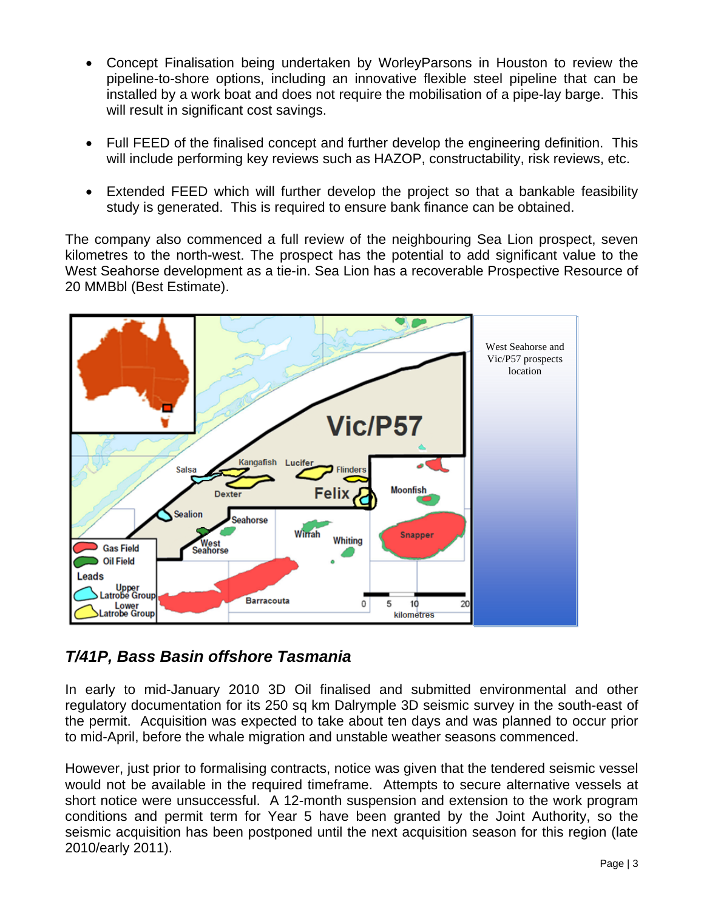- Concept Finalisation being undertaken by WorleyParsons in Houston to review the pipeline-to-shore options, including an innovative flexible steel pipeline that can be installed by a work boat and does not require the mobilisation of a pipe-lay barge. This will result in significant cost savings.
- Full FEED of the finalised concept and further develop the engineering definition. This will include performing key reviews such as HAZOP, constructability, risk reviews, etc.
- Extended FEED which will further develop the project so that a bankable feasibility study is generated. This is required to ensure bank finance can be obtained.

The company also commenced a full review of the neighbouring Sea Lion prospect, seven kilometres to the north-west. The prospect has the potential to add significant value to the West Seahorse development as a tie-in. Sea Lion has a recoverable Prospective Resource of 20 MMBbl (Best Estimate).



# *T/41P, Bass Basin offshore Tasmania*

In early to mid-January 2010 3D Oil finalised and submitted environmental and other regulatory documentation for its 250 sq km Dalrymple 3D seismic survey in the south-east of the permit. Acquisition was expected to take about ten days and was planned to occur prior to mid-April, before the whale migration and unstable weather seasons commenced.

However, just prior to formalising contracts, notice was given that the tendered seismic vessel would not be available in the required timeframe. Attempts to secure alternative vessels at short notice were unsuccessful. A 12-month suspension and extension to the work program conditions and permit term for Year 5 have been granted by the Joint Authority, so the seismic acquisition has been postponed until the next acquisition season for this region (late 2010/early 2011).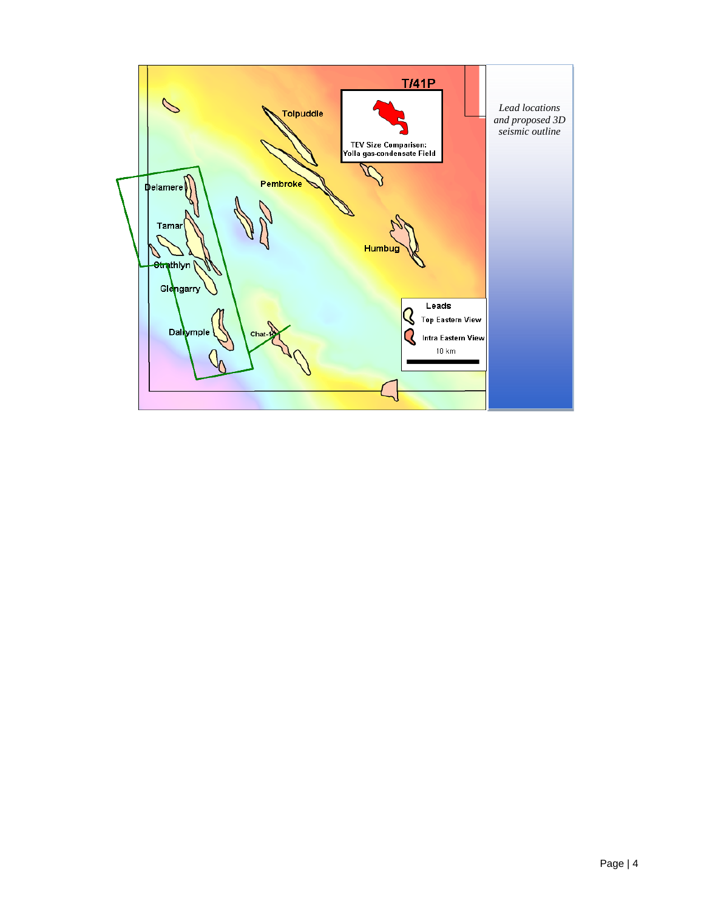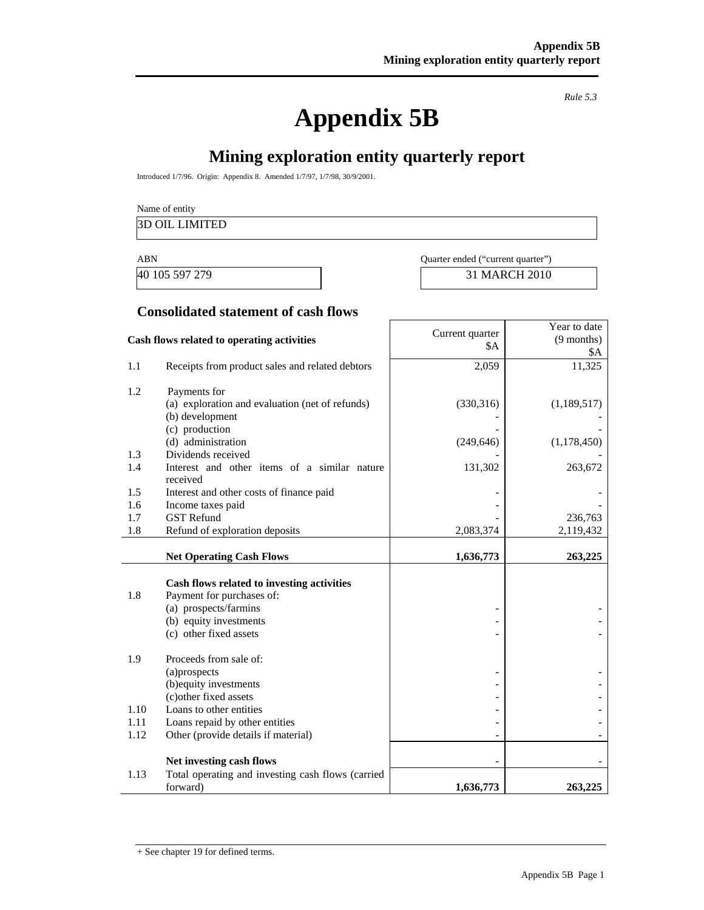**Appendix 5B** 

*Rule 5.3* 

# **Mining exploration entity quarterly report**

ľ

Introduced 1/7/96. Origin: Appendix 8. Amended 1/7/97, 1/7/98, 30/9/2001.

Name of entity

#### 3D OIL LIMITED

40 105 597 279 31 MARCH 2010

| ABN              | Quarter ended ("current quarter" |
|------------------|----------------------------------|
| $10.105$ COT 070 | $21.111$ DOIT $2010$             |

#### **Consolidated statement of cash flows**

| Cash flows related to operating activities |                                                                    | Current quarter<br>\$A | Year to date<br>$(9$ months)<br>\$Α |
|--------------------------------------------|--------------------------------------------------------------------|------------------------|-------------------------------------|
| 1.1                                        | Receipts from product sales and related debtors                    | 2,059                  | 11,325                              |
| 1.2                                        | Payments for                                                       |                        |                                     |
|                                            | (a) exploration and evaluation (net of refunds)<br>(b) development | (330,316)              | (1,189,517)                         |
|                                            | (c) production                                                     |                        |                                     |
|                                            | (d) administration                                                 | (249, 646)             | (1, 178, 450)                       |
| 1.3<br>1.4                                 | Dividends received<br>Interest and other items of a similar nature | 131,302                |                                     |
|                                            | received                                                           |                        | 263,672                             |
| 1.5                                        | Interest and other costs of finance paid                           |                        |                                     |
| 1.6                                        | Income taxes paid                                                  |                        |                                     |
| 1.7                                        | <b>GST Refund</b>                                                  |                        | 236,763                             |
| 1.8                                        | Refund of exploration deposits                                     | 2,083,374              | 2,119,432                           |
|                                            | <b>Net Operating Cash Flows</b>                                    | 1,636,773              | 263,225                             |
|                                            |                                                                    |                        |                                     |
| 1.8                                        | Cash flows related to investing activities                         |                        |                                     |
|                                            | Payment for purchases of:<br>(a) prospects/farmins                 |                        |                                     |
|                                            | (b) equity investments                                             |                        |                                     |
|                                            | (c) other fixed assets                                             |                        |                                     |
| 1.9                                        | Proceeds from sale of:                                             |                        |                                     |
|                                            | (a)prospects                                                       |                        |                                     |
|                                            | (b) equity investments                                             |                        |                                     |
| 1.10                                       | (c) other fixed assets<br>Loans to other entities                  |                        |                                     |
| 1.11                                       | Loans repaid by other entities                                     |                        |                                     |
| 1.12                                       | Other (provide details if material)                                |                        |                                     |
|                                            |                                                                    |                        |                                     |
|                                            | Net investing cash flows                                           |                        |                                     |
| 1.13                                       | Total operating and investing cash flows (carried<br>forward)      | 1,636,773              | 263,225                             |

+ See chapter 19 for defined terms.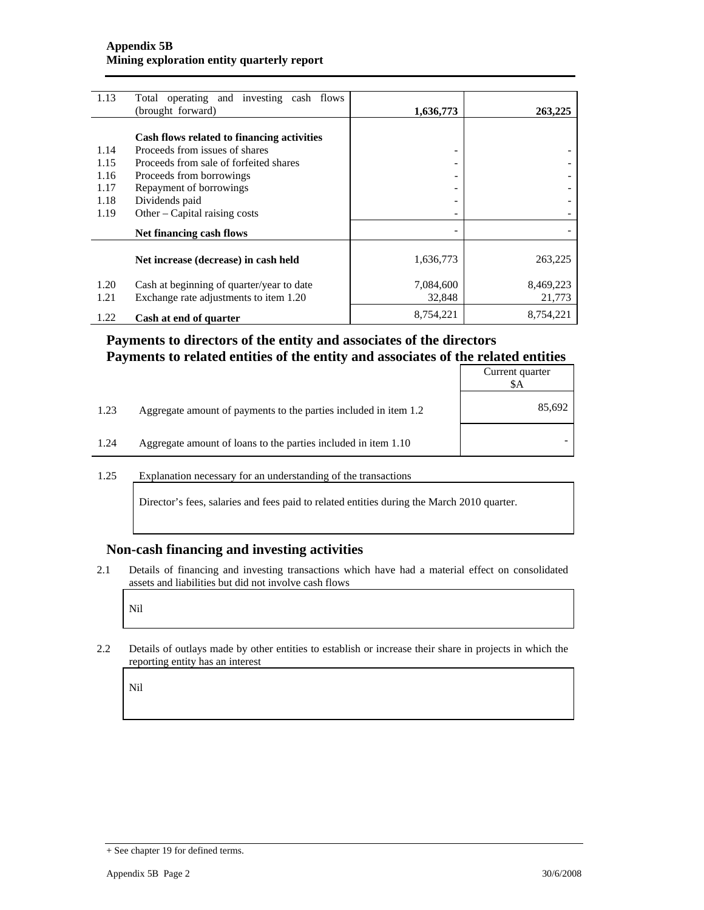| 1.13 | Total operating and investing cash flows   |                          |           |
|------|--------------------------------------------|--------------------------|-----------|
|      | (brought forward)                          | 1,636,773                | 263,225   |
|      |                                            |                          |           |
|      | Cash flows related to financing activities |                          |           |
| 1.14 | Proceeds from issues of shares             |                          |           |
| 1.15 | Proceeds from sale of forfeited shares     |                          |           |
| 1.16 | Proceeds from borrowings                   |                          |           |
| 1.17 | Repayment of borrowings                    |                          |           |
| 1.18 | Dividends paid                             |                          |           |
| 1.19 | Other – Capital raising costs              |                          |           |
|      | Net financing cash flows                   | $\overline{\phantom{0}}$ |           |
|      |                                            |                          |           |
|      | Net increase (decrease) in cash held       | 1,636,773                | 263,225   |
|      |                                            |                          |           |
| 1.20 | Cash at beginning of quarter/year to date  | 7,084,600                | 8,469,223 |
| 1.21 | Exchange rate adjustments to item 1.20     | 32,848                   | 21,773    |
| 1.22 | Cash at end of quarter                     | 8,754,221                | 8,754,221 |
|      |                                            |                          |           |

## **Payments to directors of the entity and associates of the directors Payments to related entities of the entity and associates of the related entities**

|      |                                                                  | Current quarter<br>\$A |
|------|------------------------------------------------------------------|------------------------|
| 1.23 | Aggregate amount of payments to the parties included in item 1.2 | 85,692                 |
| 1.24 | Aggregate amount of loans to the parties included in item 1.10   |                        |

1.25 Explanation necessary for an understanding of the transactions

Director's fees, salaries and fees paid to related entities during the March 2010 quarter.

#### **Non-cash financing and investing activities**

2.1 Details of financing and investing transactions which have had a material effect on consolidated assets and liabilities but did not involve cash flows

Nil

2.2 Details of outlays made by other entities to establish or increase their share in projects in which the reporting entity has an interest

Nil

<sup>+</sup> See chapter 19 for defined terms.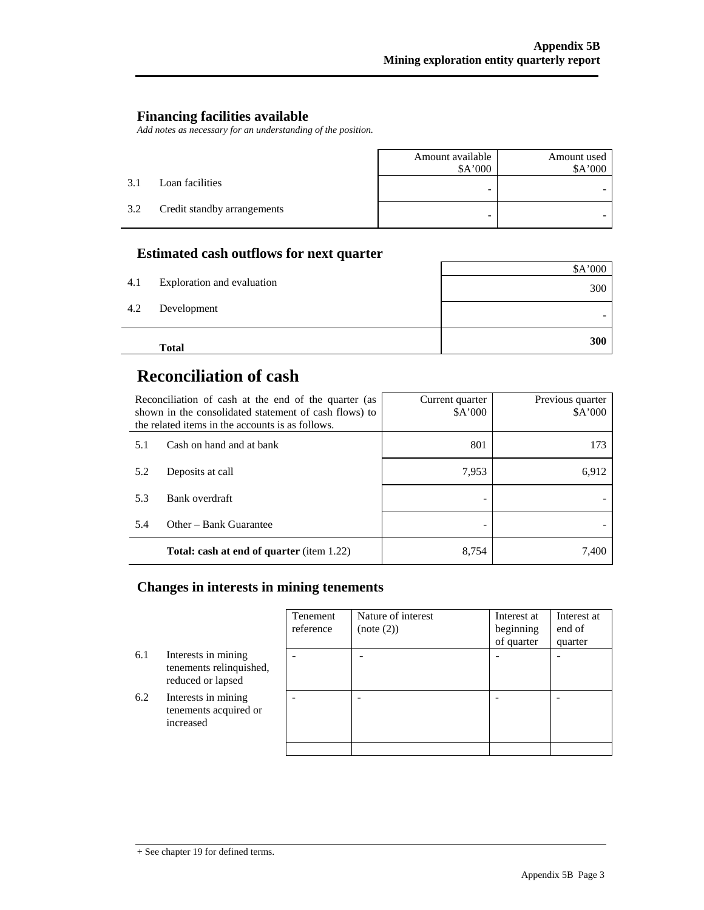#### **Financing facilities available**

*Add notes as necessary for an understanding of the position.* 

|     |                             | Amount available<br>\$A'000 | Amount used<br>\$A'000 |
|-----|-----------------------------|-----------------------------|------------------------|
| 3.1 | Loan facilities             | -                           |                        |
| 3.2 | Credit standby arrangements | -                           |                        |

## **Estimated cash outflows for next quarter**

|     | <b>Total</b>               | 300     |
|-----|----------------------------|---------|
| 4.2 | Development                |         |
| 4.1 | Exploration and evaluation | 300     |
|     |                            | \$A'000 |

# **Reconciliation of cash**

| Reconciliation of cash at the end of the quarter (as<br>shown in the consolidated statement of cash flows) to<br>the related items in the accounts is as follows. |                                                  | Current quarter<br>\$A'000 | Previous quarter<br>\$A'000 |
|-------------------------------------------------------------------------------------------------------------------------------------------------------------------|--------------------------------------------------|----------------------------|-----------------------------|
| 5.1                                                                                                                                                               | Cash on hand and at bank                         | 801                        | 173                         |
| 5.2                                                                                                                                                               | Deposits at call                                 | 7,953                      | 6,912                       |
| 5.3                                                                                                                                                               | Bank overdraft                                   |                            |                             |
| 5.4                                                                                                                                                               | Other – Bank Guarantee                           |                            |                             |
|                                                                                                                                                                   | <b>Total: cash at end of quarter</b> (item 1.22) | 8.754                      | 7.400                       |

#### **Changes in interests in mining tenements**

|     |                                                                     | Tenement<br>reference    | Nature of interest<br>(note (2)) | Interest at<br>beginning<br>of quarter | Interest at<br>end of<br>quarter |
|-----|---------------------------------------------------------------------|--------------------------|----------------------------------|----------------------------------------|----------------------------------|
| 6.1 | Interests in mining<br>tenements relinquished,<br>reduced or lapsed | $\overline{\phantom{0}}$ |                                  |                                        | $\overline{\phantom{0}}$         |
| 6.2 | Interests in mining<br>tenements acquired or<br>increased           |                          |                                  |                                        |                                  |
|     |                                                                     |                          |                                  |                                        |                                  |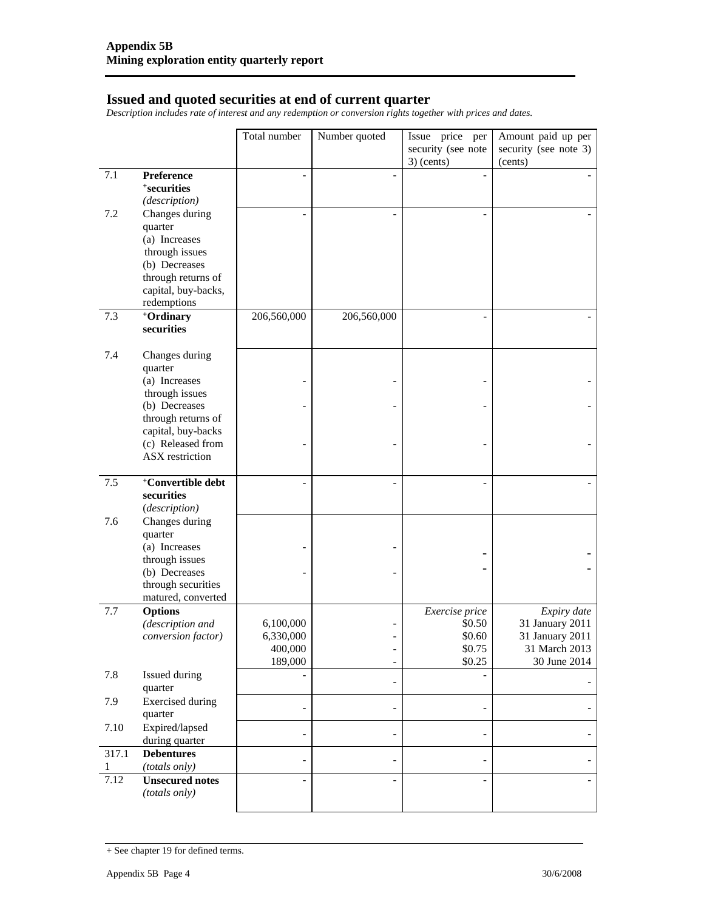#### **Issued and quoted securities at end of current quarter**

*Description includes rate of interest and any redemption or conversion rights together with prices and dates.* 

|       |                                          | Total number | Number quoted            | Issue price per    | Amount paid up per    |
|-------|------------------------------------------|--------------|--------------------------|--------------------|-----------------------|
|       |                                          |              |                          | security (see note | security (see note 3) |
|       |                                          |              |                          | $3)$ (cents)       | (cents)               |
| 7.1   | Preference                               |              |                          |                    |                       |
|       | <i><b>*securities</b></i>                |              |                          |                    |                       |
|       | (description)                            |              |                          |                    |                       |
| 7.2   | Changes during                           |              |                          |                    |                       |
|       | quarter                                  |              |                          |                    |                       |
|       | (a) Increases                            |              |                          |                    |                       |
|       | through issues<br>(b) Decreases          |              |                          |                    |                       |
|       | through returns of                       |              |                          |                    |                       |
|       | capital, buy-backs,                      |              |                          |                    |                       |
|       | redemptions                              |              |                          |                    |                       |
| 7.3   | +Ordinary                                | 206,560,000  | 206,560,000              |                    |                       |
|       | securities                               |              |                          |                    |                       |
|       |                                          |              |                          |                    |                       |
| 7.4   | Changes during                           |              |                          |                    |                       |
|       | quarter                                  |              |                          |                    |                       |
|       | (a) Increases                            |              |                          |                    |                       |
|       | through issues                           |              |                          |                    |                       |
|       | (b) Decreases                            |              |                          |                    |                       |
|       | through returns of<br>capital, buy-backs |              |                          |                    |                       |
|       | (c) Released from                        |              |                          |                    |                       |
|       | ASX restriction                          |              |                          |                    |                       |
|       |                                          |              |                          |                    |                       |
| 7.5   | <sup>+</sup> Convertible debt            |              |                          |                    |                       |
|       | securities                               |              |                          |                    |                       |
|       | (description)                            |              |                          |                    |                       |
| 7.6   | Changes during                           |              |                          |                    |                       |
|       | quarter                                  |              |                          |                    |                       |
|       | (a) Increases                            |              |                          |                    |                       |
|       | through issues<br>(b) Decreases          |              |                          |                    |                       |
|       | through securities                       |              |                          |                    |                       |
|       | matured, converted                       |              |                          |                    |                       |
| 7.7   | <b>Options</b>                           |              |                          | Exercise price     | Expiry date           |
|       | (description and                         | 6,100,000    |                          | \$0.50             | 31 January 2011       |
|       | conversion factor)                       | 6,330,000    |                          | \$0.60             | 31 January 2011       |
|       |                                          | 400,000      | $\overline{a}$           | \$0.75             | 31 March 2013         |
|       |                                          | 189,000      | $\overline{\phantom{a}}$ | \$0.25             | 30 June 2014          |
| 7.8   | Issued during                            |              | $\overline{\phantom{a}}$ |                    |                       |
|       | quarter                                  |              |                          |                    |                       |
| 7.9   | <b>Exercised</b> during<br>quarter       |              | $\overline{\phantom{a}}$ |                    |                       |
| 7.10  | Expired/lapsed                           |              |                          |                    |                       |
|       | during quarter                           |              | $\overline{\phantom{a}}$ |                    |                       |
| 317.1 | <b>Debentures</b>                        |              |                          |                    |                       |
| 1     | (totals only)                            |              | $\overline{\phantom{a}}$ |                    |                       |
| 7.12  | <b>Unsecured notes</b>                   |              |                          |                    |                       |
|       | (totals only)                            |              |                          |                    |                       |
|       |                                          |              |                          |                    |                       |

<sup>+</sup> See chapter 19 for defined terms.